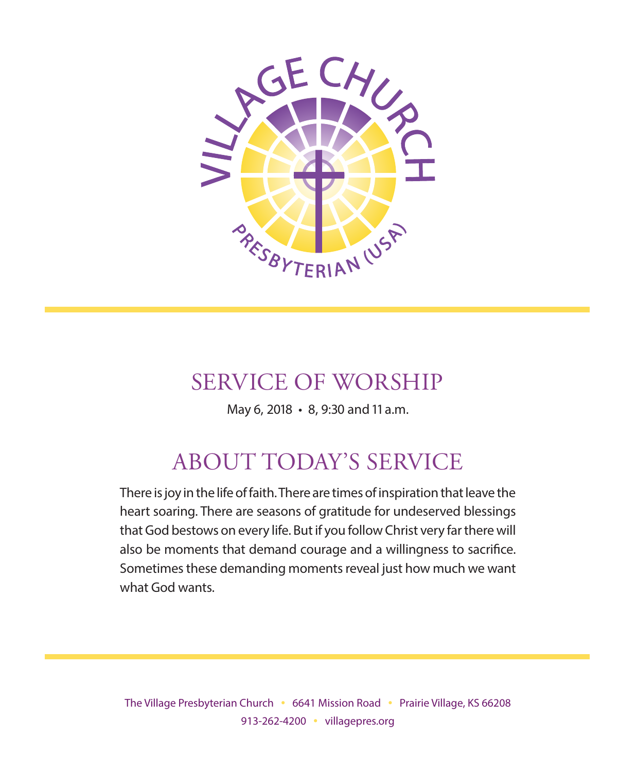

# SERVICE OF WORSHIP

May 6, 2018 • 8, 9:30 and 11 a.m.

# ABOUT TODAY'S SERVICE

There is joy in the life of faith. There are times of inspiration that leave the heart soaring. There are seasons of gratitude for undeserved blessings that God bestows on every life. But if you follow Christ very far there will also be moments that demand courage and a willingness to sacrifice. Sometimes these demanding moments reveal just how much we want what God wants.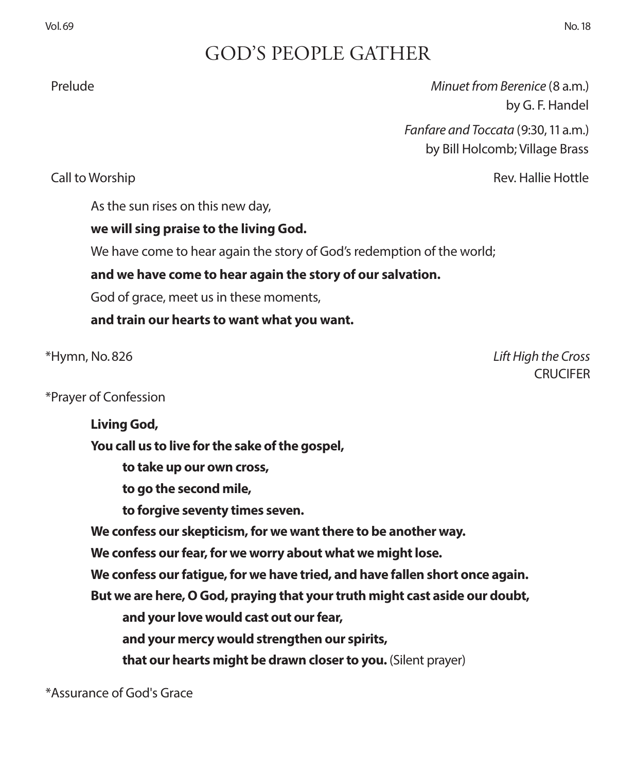# GOD'S PEOPLE GATHER

 Prelude *Minuet from Berenice* (8 a.m.) by G. F. Handel

> *Fanfare and Toccata* (9:30, 11 a.m.) by Bill Holcomb; Village Brass

Call to Worship Rev. Hallie Hottle

As the sun rises on this new day,

### **we will sing praise to the living God.**

We have come to hear again the story of God's redemption of the world;

**and we have come to hear again the story of our salvation.**

God of grace, meet us in these moments,

**and train our hearts to want what you want.**

\*Hymn, No. 826 *Lift High the Cross* CRUCIFER

\*Prayer of Confession

**Living God, You call us to live for the sake of the gospel, to take up our own cross, to go the second mile, to forgive seventy times seven. We confess our skepticism, for we want there to be another way. We confess our fear, for we worry about what we might lose. We confess our fatigue, for we have tried, and have fallen short once again. But we are here, O God, praying that your truth might cast aside our doubt, and your love would cast out our fear, and your mercy would strengthen our spirits, that our hearts might be drawn closer to you.** (Silent prayer)

\*Assurance of God's Grace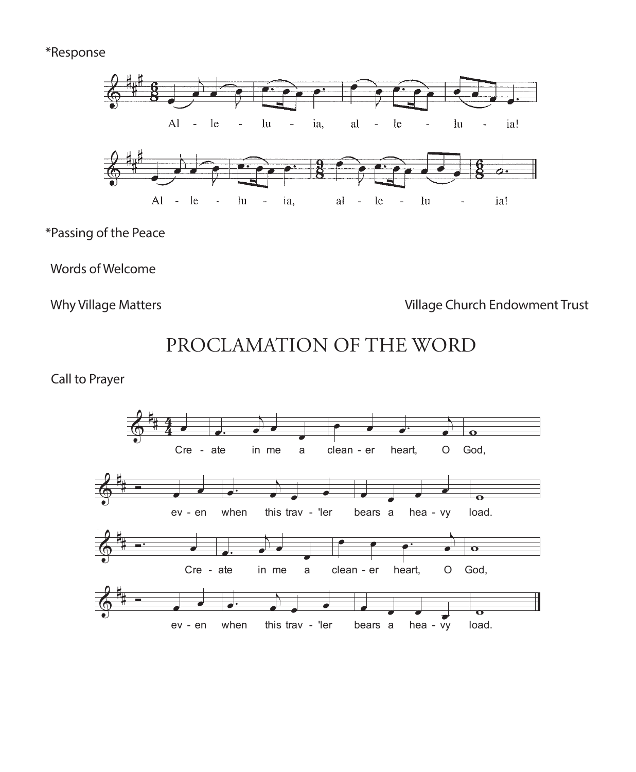#### \*Response



\*Passing of the Peace

Words of Welcome

Why Village Matters **Village Church Endowment Trust** 

PROCLAMATION OF THE WORD

Call to Prayer

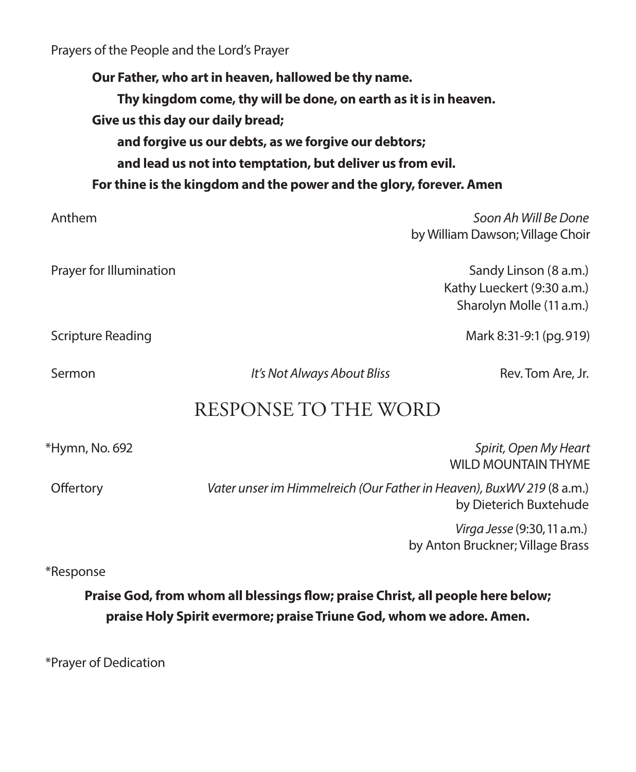Prayers of the People and the Lord's Prayer

**Our Father, who art in heaven, hallowed be thy name. Thy kingdom come, thy will be done, on earth as it is in heaven. Give us this day our daily bread; and forgive us our debts, as we forgive our debtors; and lead us not into temptation, but deliver us from evil. For thine is the kingdom and the power and the glory, forever. Amen**

 Anthem *Soon Ah Will Be Done* by William Dawson; Village Choir Prayer for Illumination **Sandy Linson (8 a.m.)** Sandy Linson (8 a.m.) Kathy Lueckert (9:30 a.m.) Sharolyn Molle (11 a.m.) Scripture Reading Mark 8:31-9:1 (pg. 919) Sermon *It's Not Always About Bliss* Rev. Tom Are, Jr. RESPONSE TO THE WORD \*Hymn, No. 692 *Spirit, Open My Heart* WILD MOUNTAIN THYME Offertory *Vater unser im Himmelreich (Our Father in Heaven), BuxWV 219* (8 a.m.) by Dieterich Buxtehude

 *Virga Jesse* (9:30, 11 a.m.) by Anton Bruckner; Village Brass

\*Response

**Praise God, from whom all blessings flow; praise Christ, all people here below; praise Holy Spirit evermore; praise Triune God, whom we adore. Amen.**

\*Prayer of Dedication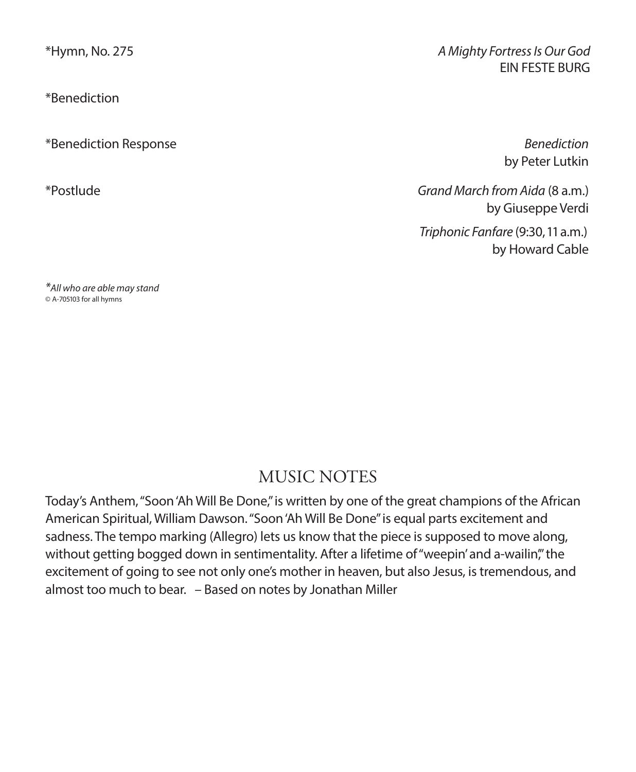\*Benediction

\*Benediction Response *Benediction*

\*Hymn, No. 275 *A Mighty Fortress Is Our God* EIN FESTE BURG

by Peter Lutkin

\*Postlude *Grand March from Aida* (8 a.m.) by Giuseppe Verdi *Triphonic Fanfare* (9:30, 11 a.m.)

by Howard Cable

*\*All who are able may stand* © A-705103 for all hymns

# MUSIC NOTES

Today's Anthem, "Soon 'Ah Will Be Done," is written by one of the great champions of the African American Spiritual, William Dawson. "Soon 'Ah Will Be Done" is equal parts excitement and sadness. The tempo marking (Allegro) lets us know that the piece is supposed to move along, without getting bogged down in sentimentality. After a lifetime of "weepin' and a-wailin", the excitement of going to see not only one's mother in heaven, but also Jesus, is tremendous, and almost too much to bear. – Based on notes by Jonathan Miller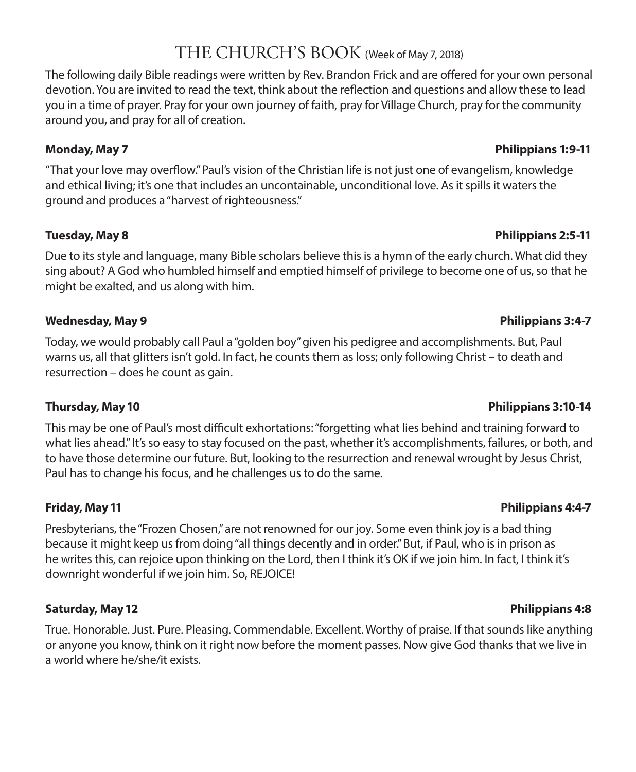## THE CHURCH'S BOOK (Week of May 7, 2018)

The following daily Bible readings were written by Rev. Brandon Frick and are offered for your own personal devotion. You are invited to read the text, think about the reflection and questions and allow these to lead you in a time of prayer. Pray for your own journey of faith, pray for Village Church, pray for the community around you, and pray for all of creation.

"That your love may overflow." Paul's vision of the Christian life is not just one of evangelism, knowledge and ethical living; it's one that includes an uncontainable, unconditional love. As it spills it waters the ground and produces a "harvest of righteousness."

#### **Tuesday, May 8 Philippians 2:5-11**

Due to its style and language, many Bible scholars believe this is a hymn of the early church. What did they sing about? A God who humbled himself and emptied himself of privilege to become one of us, so that he might be exalted, and us along with him.

#### **Wednesday, May 9 Philippians 3:4-7**

Today, we would probably call Paul a "golden boy" given his pedigree and accomplishments. But, Paul warns us, all that glitters isn't gold. In fact, he counts them as loss; only following Christ – to death and resurrection – does he count as gain.

This may be one of Paul's most difficult exhortations: "forgetting what lies behind and training forward to what lies ahead." It's so easy to stay focused on the past, whether it's accomplishments, failures, or both, and to have those determine our future. But, looking to the resurrection and renewal wrought by Jesus Christ, Paul has to change his focus, and he challenges us to do the same.

#### **Friday, May 11 Philippians 4:4-7**

Presbyterians, the "Frozen Chosen," are not renowned for our joy. Some even think joy is a bad thing because it might keep us from doing "all things decently and in order." But, if Paul, who is in prison as he writes this, can rejoice upon thinking on the Lord, then I think it's OK if we join him. In fact, I think it's downright wonderful if we join him. So, REJOICE!

### **Saturday, May 12 Philippians 4:8**

True. Honorable. Just. Pure. Pleasing. Commendable. Excellent. Worthy of praise. If that sounds like anything or anyone you know, think on it right now before the moment passes. Now give God thanks that we live in a world where he/she/it exists.

### **Thursday, May 10 Philippians 3:10-14**

#### **Monday, May 7 Philippians 1:9-11**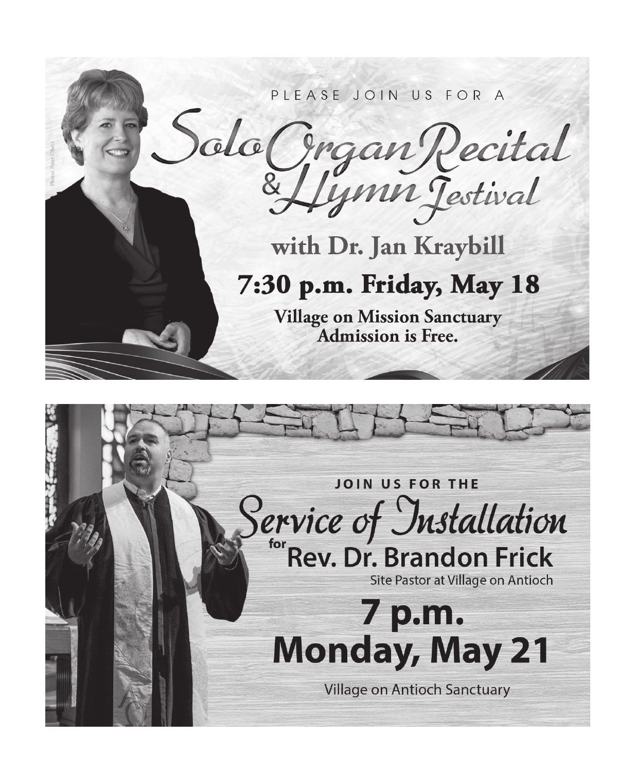

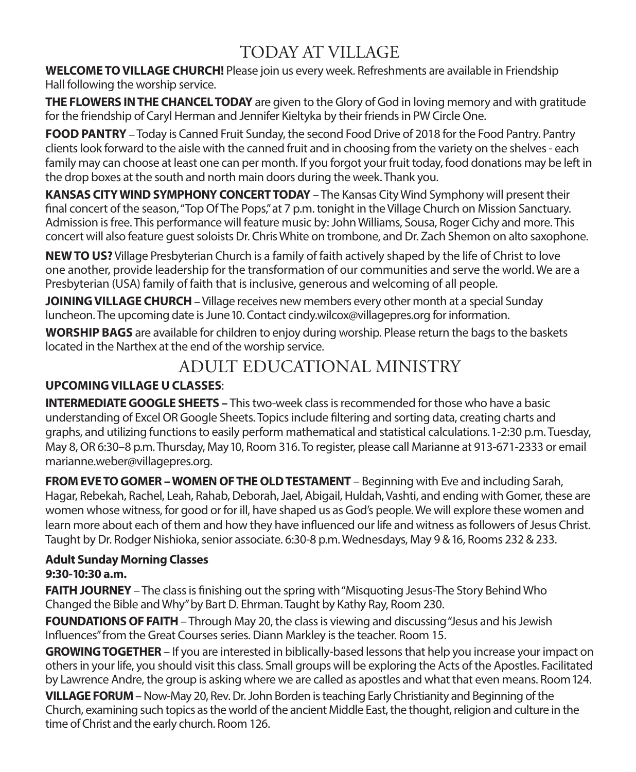# TODAY AT VILLAGE

**WELCOME TO VILLAGE CHURCH!** Please join us every week. Refreshments are available in Friendship Hall following the worship service.

**THE FLOWERS IN THE CHANCEL TODAY** are given to the Glory of God in loving memory and with gratitude for the friendship of Caryl Herman and Jennifer Kieltyka by their friends in PW Circle One.

**FOOD PANTRY** –Today is Canned Fruit Sunday, the second Food Drive of 2018 for the Food Pantry. Pantry clients look forward to the aisle with the canned fruit and in choosing from the variety on the shelves - each family may can choose at least one can per month. If you forgot your fruit today, food donations may be left in the drop boxes at the south and north main doors during the week. Thank you.

**KANSAS CITY WIND SYMPHONY CONCERT TODAY** – The Kansas City Wind Symphony will present their final concert of the season, "Top Of The Pops," at 7 p.m. tonight in the Village Church on Mission Sanctuary. Admission is free. This performance will feature music by: John Williams, Sousa, Roger Cichy and more. This concert will also feature guest soloists Dr. Chris White on trombone, and Dr. Zach Shemon on alto saxophone.

**NEW TO US?** Village Presbyterian Church is a family of faith actively shaped by the life of Christ to love one another, provide leadership for the transformation of our communities and serve the world. We are a Presbyterian (USA) family of faith that is inclusive, generous and welcoming of all people.

**JOINING VILLAGE CHURCH** – Village receives new members every other month at a special Sunday luncheon. The upcoming date is June 10. Contact cindy.wilcox@villagepres.org for information.

**WORSHIP BAGS** are available for children to enjoy during worship. Please return the bags to the baskets located in the Narthex at the end of the worship service.

# ADULT EDUCATIONAL MINISTRY

### **UPCOMING VILLAGE U CLASSES**:

**INTERMEDIATE GOOGLE SHEETS –** This two-week class is recommended for those who have a basic understanding of Excel OR Google Sheets. Topics include filtering and sorting data, creating charts and graphs, and utilizing functions to easily perform mathematical and statistical calculations. 1-2:30 p.m. Tuesday, May 8, OR 6:30–8 p.m. Thursday, May 10, Room 316. To register, please call Marianne at 913-671-2333 or email marianne.weber@villagepres.org.

**FROM EVE TO GOMER – WOMEN OF THE OLD TESTAMENT** – Beginning with Eve and including Sarah, Hagar, Rebekah, Rachel, Leah, Rahab, Deborah, Jael, Abigail, Huldah, Vashti, and ending with Gomer, these are women whose witness, for good or for ill, have shaped us as God's people. We will explore these women and learn more about each of them and how they have influenced our life and witness as followers of Jesus Christ. Taught by Dr. Rodger Nishioka, senior associate. 6:30-8 p.m. Wednesdays, May 9 & 16, Rooms 232 & 233.

#### **Adult Sunday Morning Classes 9:30-10:30 a.m.**

**FAITH JOURNEY** – The class is finishing out the spring with "Misquoting Jesus-The Story Behind Who Changed the Bible and Why" by Bart D. Ehrman. Taught by Kathy Ray, Room 230.

**FOUNDATIONS OF FAITH** – Through May 20, the class is viewing and discussing "Jesus and his Jewish Influences" from the Great Courses series. Diann Markley is the teacher. Room 15.

**GROWING TOGETHER** – If you are interested in biblically-based lessons that help you increase your impact on others in your life, you should visit this class. Small groups will be exploring the Acts of the Apostles. Facilitated by Lawrence Andre, the group is asking where we are called as apostles and what that even means. Room 124.

**VILLAGE FORUM** – Now-May 20, Rev. Dr. John Borden is teaching Early Christianity and Beginning of the Church, examining such topics as the world of the ancient Middle East, the thought, religion and culture in the time of Christ and the early church. Room 126.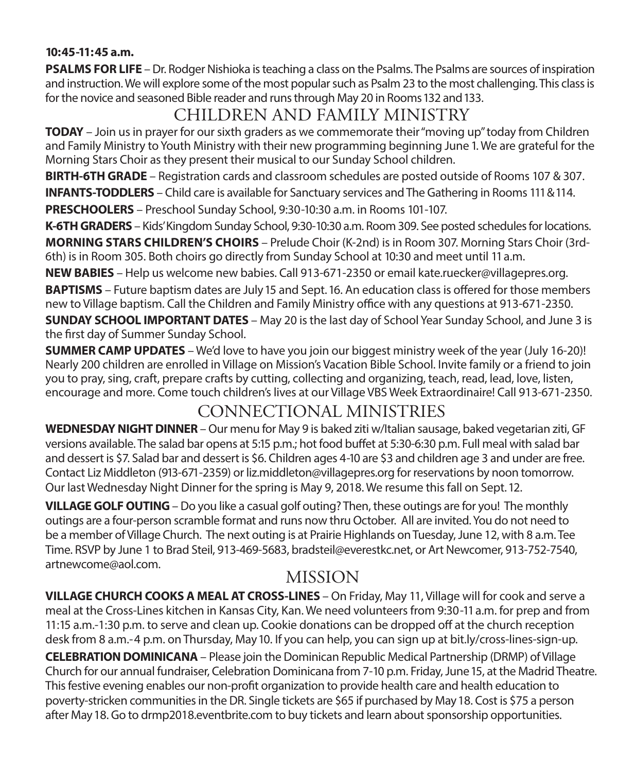#### **10:45-11:45 a.m.**

**PSALMS FOR LIFE** – Dr. Rodger Nishioka is teaching a class on the Psalms. The Psalms are sources of inspiration and instruction. We will explore some of the most popular such as Psalm 23 to the most challenging. This class is for the novice and seasoned Bible reader and runs through May 20 in Rooms 132 and 133.

# CHILDREN AND FAMILY MINISTRY

**TODAY** – Join us in prayer for our sixth graders as we commemorate their "moving up" today from Children and Family Ministry to Youth Ministry with their new programming beginning June 1. We are grateful for the Morning Stars Choir as they present their musical to our Sunday School children.

**BIRTH-6TH GRADE** – Registration cards and classroom schedules are posted outside of Rooms 107 & 307.

**INFANTS-TODDLERS** – Child care is available for Sanctuary services and The Gathering in Rooms 111 & 114.

**PRESCHOOLERS** – Preschool Sunday School, 9:30-10:30 a.m. in Rooms 101-107.

**K-6TH GRADERS** – Kids' Kingdom Sunday School, 9:30-10:30 a.m. Room 309. See posted schedules for locations.

**MORNING STARS CHILDREN'S CHOIRS** – Prelude Choir (K-2nd) is in Room 307. Morning Stars Choir (3rd-6th) is in Room 305. Both choirs go directly from Sunday School at 10:30 and meet until 11 a.m.

**NEW BABIES** – Help us welcome new babies. Call 913-671-2350 or email kate.ruecker@villagepres.org.

**BAPTISMS** – Future baptism dates are July 15 and Sept. 16. An education class is offered for those members new to Village baptism. Call the Children and Family Ministry office with any questions at 913-671-2350.

**SUNDAY SCHOOL IMPORTANT DATES** – May 20 is the last day of School Year Sunday School, and June 3 is the first day of Summer Sunday School.

**SUMMER CAMP UPDATES** – We'd love to have you join our biggest ministry week of the year (July 16-20)! Nearly 200 children are enrolled in Village on Mission's Vacation Bible School. Invite family or a friend to join you to pray, sing, craft, prepare crafts by cutting, collecting and organizing, teach, read, lead, love, listen, encourage and more. Come touch children's lives at our Village VBS Week Extraordinaire! Call 913-671-2350.

# CONNECTIONAL MINISTRIES

**WEDNESDAY NIGHT DINNER** – Our menu for May 9 is baked ziti w/Italian sausage, baked vegetarian ziti, GF versions available. The salad bar opens at 5:15 p.m.; hot food buffet at 5:30-6:30 p.m. Full meal with salad bar and dessert is \$7. Salad bar and dessert is \$6. Children ages 4-10 are \$3 and children age 3 and under are free. Contact Liz Middleton (913-671-2359) or liz.middleton@villagepres.org for reservations by noon tomorrow. Our last Wednesday Night Dinner for the spring is May 9, 2018. We resume this fall on Sept. 12.

**VILLAGE GOLF OUTING** – Do you like a casual golf outing? Then, these outings are for you! The monthly outings are a four-person scramble format and runs now thru October. All are invited. You do not need to be a member of Village Church. The next outing is at Prairie Highlands on Tuesday, June 12, with 8 a.m. Tee Time. RSVP by June 1 to Brad Steil, 913-469-5683, bradsteil@everestkc.net, or Art Newcomer, 913-752-7540, artnewcome@aol.com.

## MISSION

**VILLAGE CHURCH COOKS A MEAL AT CROSS-LINES** – On Friday, May 11, Village will for cook and serve a meal at the Cross-Lines kitchen in Kansas City, Kan. We need volunteers from 9:30-11 a.m. for prep and from 11:15 a.m.-1:30 p.m. to serve and clean up. Cookie donations can be dropped off at the church reception desk from 8 a.m.-4 p.m. on Thursday, May 10. If you can help, you can sign up at bit.ly/cross-lines-sign-up. **CELEBRATION DOMINICANA** – Please join the Dominican Republic Medical Partnership (DRMP) of Village Church for our annual fundraiser, Celebration Dominicana from 7-10 p.m. Friday, June 15, at the Madrid Theatre.

This festive evening enables our non-profit organization to provide health care and health education to poverty-stricken communities in the DR. Single tickets are \$65 if purchased by May 18. Cost is \$75 a person after May 18. Go to drmp2018.eventbrite.com to buy tickets and learn about sponsorship opportunities.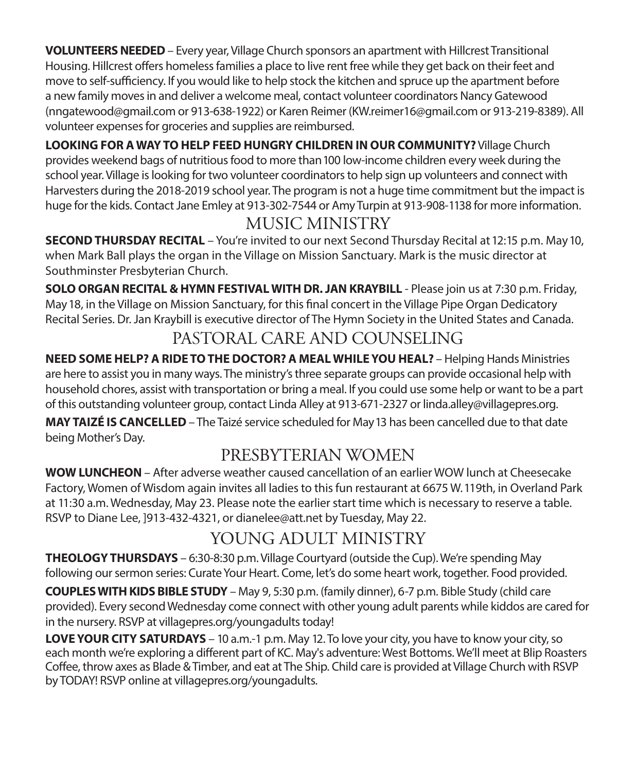**VOLUNTEERS NEEDED**– Every year, Village Church sponsors an apartment with Hillcrest Transitional Housing. Hillcrest offers homeless families a place to live rent free while they get back on their feet and move to self-sufficiency. If you would like to help stock the kitchen and spruce up the apartment before a new family moves in and deliver a welcome meal, contact volunteer coordinators Nancy Gatewood (nngatewood@gmail.com or 913-638-1922) or Karen Reimer (KW.reimer16@gmail.com or 913-219-8389). All volunteer expenses for groceries and supplies are reimbursed.

**LOOKING FOR A WAY TO HELP FEED HUNGRY CHILDREN IN OUR COMMUNITY?** Village Church provides weekend bags of nutritious food to more than 100 low-income children every week during the school year. Village is looking for two volunteer coordinators to help sign up volunteers and connect with Harvesters during the 2018-2019 school year. The program is not a huge time commitment but the impact is huge for the kids. Contact Jane Emley at 913-302-7544 or Amy Turpin at 913-908-1138 for more information.

# MUSIC MINISTRY

**SECOND THURSDAY RECITAL** – You're invited to our next Second Thursday Recital at 12:15 p.m. May10, when Mark Ball plays the organ in the Village on Mission Sanctuary. Mark is the music director at Southminster Presbyterian Church.

**SOLO ORGAN RECITAL & HYMN FESTIVAL WITH DR. JAN KRAYBILL** - Please join us at 7:30 p.m. Friday, May 18, in the Village on Mission Sanctuary, for this final concert in the Village Pipe Organ Dedicatory Recital Series. Dr. Jan Kraybill is executive director of The Hymn Society in the United States and Canada.

# PASTORAL CARE AND COUNSELING

**NEED SOME HELP? A RIDE TO THE DOCTOR? A MEAL WHILE YOU HEAL?** – Helping Hands Ministries are here to assist you in many ways. The ministry's three separate groups can provide occasional help with household chores, assist with transportation or bring a meal. If you could use some help or want to be a part of this outstanding volunteer group, contact Linda Alley at 913-671-2327 or linda.alley@villagepres.org.

**MAY TAIZÉ IS CANCELLED** – The Taizé service scheduled for May 13 has been cancelled due to that date being Mother's Day.

# PRESBYTERIAN WOMEN

**WOW LUNCHEON** – After adverse weather caused cancellation of an earlier WOW lunch at Cheesecake Factory, Women of Wisdom again invites all ladies to this fun restaurant at 6675 W. 119th, in Overland Park at 11:30 a.m. Wednesday, May 23. Please note the earlier start time which is necessary to reserve a table. RSVP to Diane Lee, ]913-432-4321, or dianelee@att.net by Tuesday, May 22.

# YOUNG ADULT MINISTRY

**THEOLOGY THURSDAYS** – 6:30-8:30 p.m. Village Courtyard (outside the Cup). We're spending May following our sermon series: Curate Your Heart. Come, let's do some heart work, together. Food provided.

**COUPLES WITH KIDS BIBLE STUDY** – May 9, 5:30 p.m. (family dinner), 6-7 p.m. Bible Study (child care provided). Every second Wednesday come connect with other young adult parents while kiddos are cared for in the nursery. RSVP at villagepres.org/youngadults today!

**LOVE YOUR CITY SATURDAYS** – 10 a.m.-1 p.m. May 12. To love your city, you have to know your city, so each month we're exploring a different part of KC. May's adventure: West Bottoms. We'll meet at Blip Roasters Coffee, throw axes as Blade & Timber, and eat at The Ship. Child care is provided at Village Church with RSVP by TODAY! RSVP online at villagepres.org/youngadults.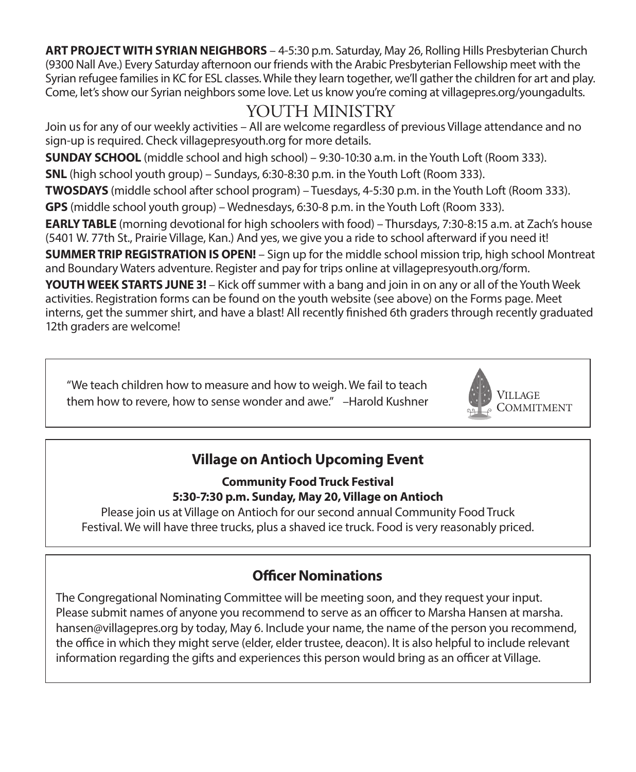**ART PROJECT WITH SYRIAN NEIGHBORS** – 4-5:30 p.m. Saturday, May 26, Rolling Hills Presbyterian Church (9300 Nall Ave.) Every Saturday afternoon our friends with the Arabic Presbyterian Fellowship meet with the Syrian refugee families in KC for ESL classes. While they learn together, we'll gather the children for art and play. Come, let's show our Syrian neighbors some love. Let us know you're coming at villagepres.org/youngadults.

# YOUTH MINISTRY

Join us for any of our weekly activities – All are welcome regardless of previous Village attendance and no sign-up is required. Check villagepresyouth.org for more details.

**SUNDAY SCHOOL** (middle school and high school) – 9:30-10:30 a.m. in the Youth Loft (Room 333).

**SNL** (high school youth group) – Sundays, 6:30-8:30 p.m. in the Youth Loft (Room 333).

**TWOSDAYS** (middle school after school program) – Tuesdays, 4-5:30 p.m. in the Youth Loft (Room 333).

**GPS** (middle school youth group) – Wednesdays, 6:30-8 p.m. in the Youth Loft (Room 333).

**EARLY TABLE** (morning devotional for high schoolers with food) – Thursdays, 7:30-8:15 a.m. at Zach's house (5401 W. 77th St., Prairie Village, Kan.) And yes, we give you a ride to school afterward if you need it!

**SUMMER TRIP REGISTRATION IS OPEN!** – Sign up for the middle school mission trip, high school Montreat and Boundary Waters adventure. Register and pay for trips online at villagepresyouth.org/form.

**YOUTH WEEK STARTS JUNE 3!** – Kick off summer with a bang and join in on any or all of the Youth Week activities. Registration forms can be found on the youth website (see above) on the Forms page. Meet interns, get the summer shirt, and have a blast! All recently finished 6th graders through recently graduated 12th graders are welcome!

"We teach children how to measure and how to weigh. We fail to teach them how to revere, how to sense wonder and awe." –Harold Kushner



## **Village on Antioch Upcoming Event**

**Community Food Truck Festival 5:30-7:30 p.m. Sunday, May 20, Village on Antioch**

Please join us at Village on Antioch for our second annual Community Food Truck Festival. We will have three trucks, plus a shaved ice truck. Food is very reasonably priced.

## **Officer Nominations**

The Congregational Nominating Committee will be meeting soon, and they request your input. Please submit names of anyone you recommend to serve as an officer to Marsha Hansen at marsha. hansen@villagepres.org by today, May 6. Include your name, the name of the person you recommend, the office in which they might serve (elder, elder trustee, deacon). It is also helpful to include relevant information regarding the gifts and experiences this person would bring as an officer at Village.